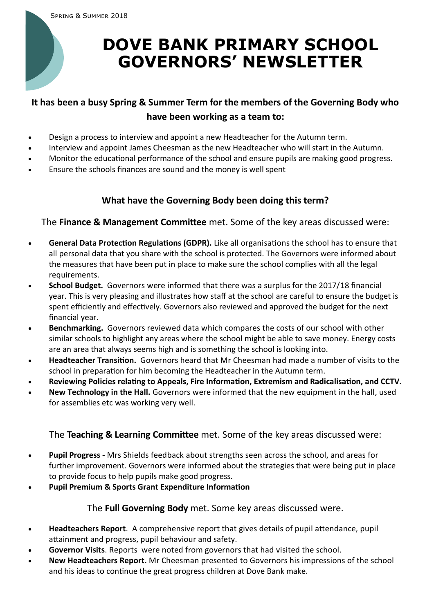# **DOVE BANK PRIMARY SCHOOL GOVERNORS' NEWSLETTER**

## **It has been a busy Spring & Summer Term for the members of the Governing Body who have been working as a team to:**

- Design a process to interview and appoint a new Headteacher for the Autumn term.
- Interview and appoint James Cheesman as the new Headteacher who will start in the Autumn.
- Monitor the educational performance of the school and ensure pupils are making good progress.
- Ensure the schools finances are sound and the money is well spent

#### **What have the Governing Body been doing this term?**

The **Finance & Management Committee** met. Some of the key areas discussed were:

- **General Data Protection Regulations (GDPR).** Like all organisations the school has to ensure that all personal data that you share with the school is protected. The Governors were informed about the measures that have been put in place to make sure the school complies with all the legal requirements.
- **School Budget.** Governors were informed that there was a surplus for the 2017/18 financial year. This is very pleasing and illustrates how staff at the school are careful to ensure the budget is spent efficiently and effectively. Governors also reviewed and approved the budget for the next financial year.
- **Benchmarking.** Governors reviewed data which compares the costs of our school with other similar schools to highlight any areas where the school might be able to save money. Energy costs are an area that always seems high and is something the school is looking into.
- **Headteacher Transition.** Governors heard that Mr Cheesman had made a number of visits to the school in preparation for him becoming the Headteacher in the Autumn term.
- **Reviewing Policies relating to Appeals, Fire Information, Extremism and Radicalisation, and CCTV.**
- **New Technology in the Hall.** Governors were informed that the new equipment in the hall, used for assemblies etc was working very well.

The **Teaching & Learning Committee** met. Some of the key areas discussed were:

- **Pupil Progress -** Mrs Shields feedback about strengths seen across the school, and areas for further improvement. Governors were informed about the strategies that were being put in place to provide focus to help pupils make good progress.
- **Pupil Premium & Sports Grant Expenditure Information**

The **Full Governing Body** met. Some key areas discussed were.

- **Headteachers Report**. A comprehensive report that gives details of pupil attendance, pupil attainment and progress, pupil behaviour and safety.
- **Governor Visits**. Reports were noted from governors that had visited the school.
- **New Headteachers Report.** Mr Cheesman presented to Governors his impressions of the school and his ideas to continue the great progress children at Dove Bank make.